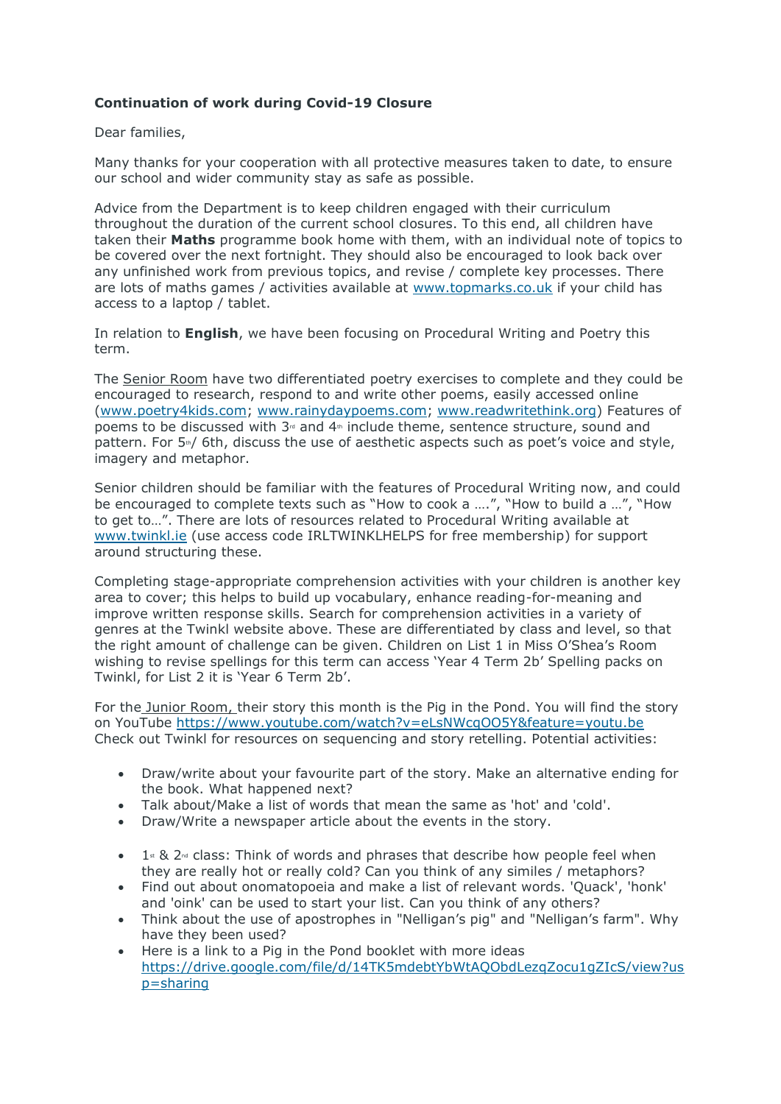# **Continuation of work during Covid-19 Closure**

## Dear families,

Many thanks for your cooperation with all protective measures taken to date, to ensure our school and wider community stay as safe as possible.

Advice from the Department is to keep children engaged with their curriculum throughout the duration of the current school closures. To this end, all children have taken their **Maths** programme book home with them, with an individual note of topics to be covered over the next fortnight. They should also be encouraged to look back over any unfinished work from previous topics, and revise / complete key processes. There are lots of maths games / activities available at [www.topmarks.co.uk](http://www.topmarks.co.uk/) if your child has access to a laptop / tablet.

In relation to **English**, we have been focusing on Procedural Writing and Poetry this term.

The Senior Room have two differentiated poetry exercises to complete and they could be encouraged to research, respond to and write other poems, easily accessed online [\(www.poetry4kids.com;](http://www.poetry4kids.com/) [www.rainydaypoems.com;](http://www.rainydaypoems.com/) [www.readwritethink.org\)](http://www.readwritethink.org/) Features of poems to be discussed with  $3<sup>d</sup>$  and  $4<sup>th</sup>$  include theme, sentence structure, sound and pattern. For 5<sup>th</sup>/ 6th, discuss the use of aesthetic aspects such as poet's voice and style, imagery and metaphor.

Senior children should be familiar with the features of Procedural Writing now, and could be encouraged to complete texts such as "How to cook a ….", "How to build a …", "How to get to…". There are lots of resources related to Procedural Writing available at [www.twinkl.ie](http://www.twinkl.ie/) (use access code IRLTWINKLHELPS for free membership) for support around structuring these.

Completing stage-appropriate comprehension activities with your children is another key area to cover; this helps to build up vocabulary, enhance reading-for-meaning and improve written response skills. Search for comprehension activities in a variety of genres at the Twinkl website above. These are differentiated by class and level, so that the right amount of challenge can be given. Children on List 1 in Miss O'Shea's Room wishing to revise spellings for this term can access 'Year 4 Term 2b' Spelling packs on Twinkl, for List 2 it is 'Year 6 Term 2b'.

For the Junior Room, their story this month is the Pig in the Pond. You will find the storv on YouTube<https://www.youtube.com/watch?v=eLsNWcqOO5Y&feature=youtu.be> Check out Twinkl for resources on sequencing and story retelling. Potential activities:

- Draw/write about your favourite part of the story. Make an alternative ending for the book. What happened next?
- Talk about/Make a list of words that mean the same as 'hot' and 'cold'.
- Draw/Write a newspaper article about the events in the story.
- $\bullet$  1<sup>st</sup> & 2<sup>nd</sup> class: Think of words and phrases that describe how people feel when they are really hot or really cold? Can you think of any similes / metaphors?
- Find out about onomatopoeia and make a list of relevant words. 'Quack', 'honk' and 'oink' can be used to start your list. Can you think of any others?
- Think about the use of apostrophes in "Nelligan's pig" and "Nelligan's farm". Why have they been used?
- Here is a link to a Pig in the Pond booklet with more ideas [https://drive.google.com/file/d/14TK5mdebtYbWtAQObdLezqZocu1gZIcS/view?us](https://drive.google.com/file/d/14TK5mdebtYbWtAQObdLezqZocu1gZIcS/view?usp=sharing) [p=sharing](https://drive.google.com/file/d/14TK5mdebtYbWtAQObdLezqZocu1gZIcS/view?usp=sharing)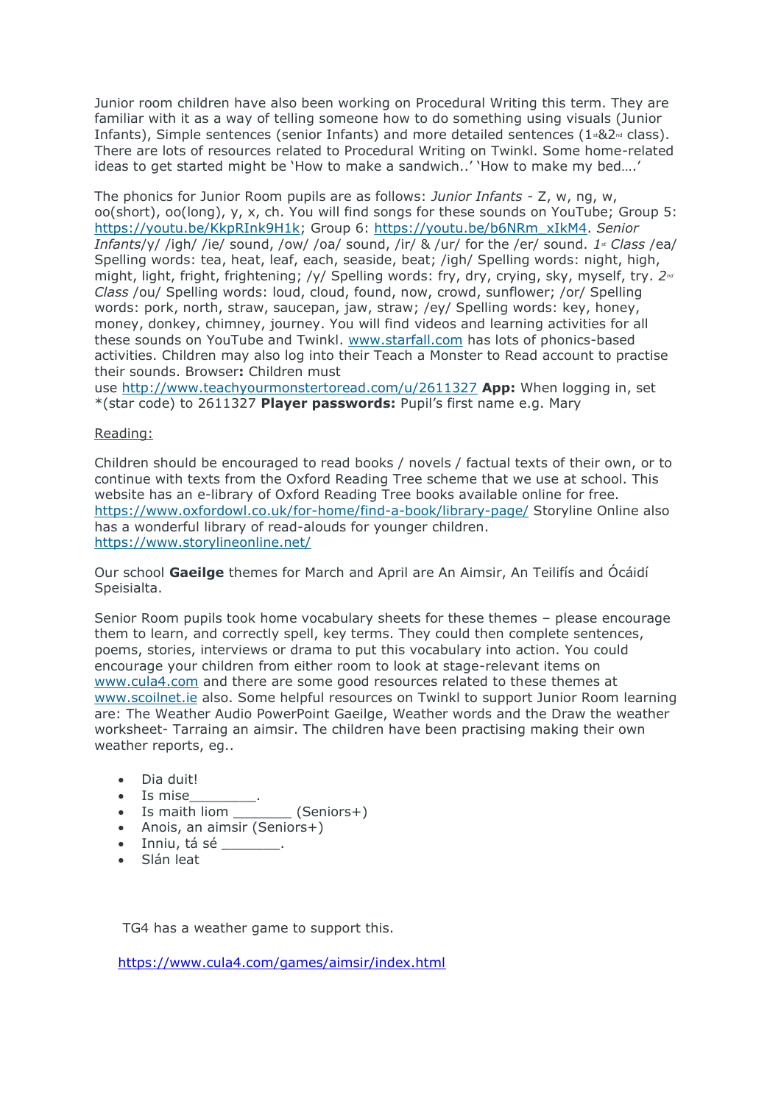Junior room children have also been working on Procedural Writing this term. They are familiar with it as a way of telling someone how to do something using visuals (Junior Infants), Simple sentences (senior Infants) and more detailed sentences  $(1 \cdot 82)$ <sup>d</sup> class). There are lots of resources related to Procedural Writing on Twinkl. Some home-related ideas to get started might be 'How to make a sandwich..' 'How to make my bed….'

The phonics for Junior Room pupils are as follows: *Junior Infants -* Z, w, ng, w, oo(short), oo(long), y, x, ch. You will find songs for these sounds on YouTube; Group 5: [https://youtu.be/KkpRInk9H1k;](https://youtu.be/KkpRInk9H1k) Group 6: [https://youtu.be/b6NRm\\_xIkM4.](https://youtu.be/b6NRm_xIkM4) *Senior Infants*/y/ /igh/ /ie/ sound, /ow/ /oa/ sound, /ir/ & /ur/ for the /er/ sound. *1st Class* /ea/ Spelling words: tea, heat, leaf, each, seaside, beat; /igh/ Spelling words: night, high, might, light, fright, frightening; /y/ Spelling words: fry, dry, crying, sky, myself, try. *2nd Class* /ou/ Spelling words: loud, cloud, found, now, crowd, sunflower; /or/ Spelling words: pork, north, straw, saucepan, jaw, straw; /ey/ Spelling words: key, honey, money, donkey, chimney, journey. You will find videos and learning activities for all these sounds on YouTube and Twinkl. [www.starfall.com](http://www.starfall.com/) has lots of phonics-based activities. Children may also log into their Teach a Monster to Read account to practise their sounds. Browser**:** Children must

use [http://www.teachyourmonstertoread.com/u/2611327](https://www.teachyourmonstertoread.com/u/2611327) **App:** When logging in, set \*(star code) to 2611327 **Player passwords:** Pupil's first name e.g. Mary

### Reading:

Children should be encouraged to read books / novels / factual texts of their own, or to continue with texts from the Oxford Reading Tree scheme that we use at school. This website has an e-library of Oxford Reading Tree books available online for free. <https://www.oxfordowl.co.uk/for-home/find-a-book/library-page/> Storyline Online also has a wonderful library of read-alouds for younger children. <https://www.storylineonline.net/>

Our school **Gaeilge** themes for March and April are An Aimsir, An Teilifís and Ócáidí Speisialta.

Senior Room pupils took home vocabulary sheets for these themes – please encourage them to learn, and correctly spell, key terms. They could then complete sentences, poems, stories, interviews or drama to put this vocabulary into action. You could encourage your children from either room to look at stage-relevant items on [www.cula4.com](http://www.cula4.com/) and there are some good resources related to these themes at [www.scoilnet.ie](http://www.scoilnet.ie/) also. Some helpful resources on Twinkl to support Junior Room learning are: The Weather Audio PowerPoint Gaeilge, Weather words and the Draw the weather worksheet- Tarraing an aimsir. The children have been practising making their own weather reports, eg..

- Dia duit!
- Is mise
- Is maith liom  $(Seniors+)$
- Anois, an aimsir (Seniors+)
- Inniu, tá sé \_\_\_\_\_\_\_.
- Slán leat

TG4 has a weather game to support this.

<https://www.cula4.com/games/aimsir/index.html>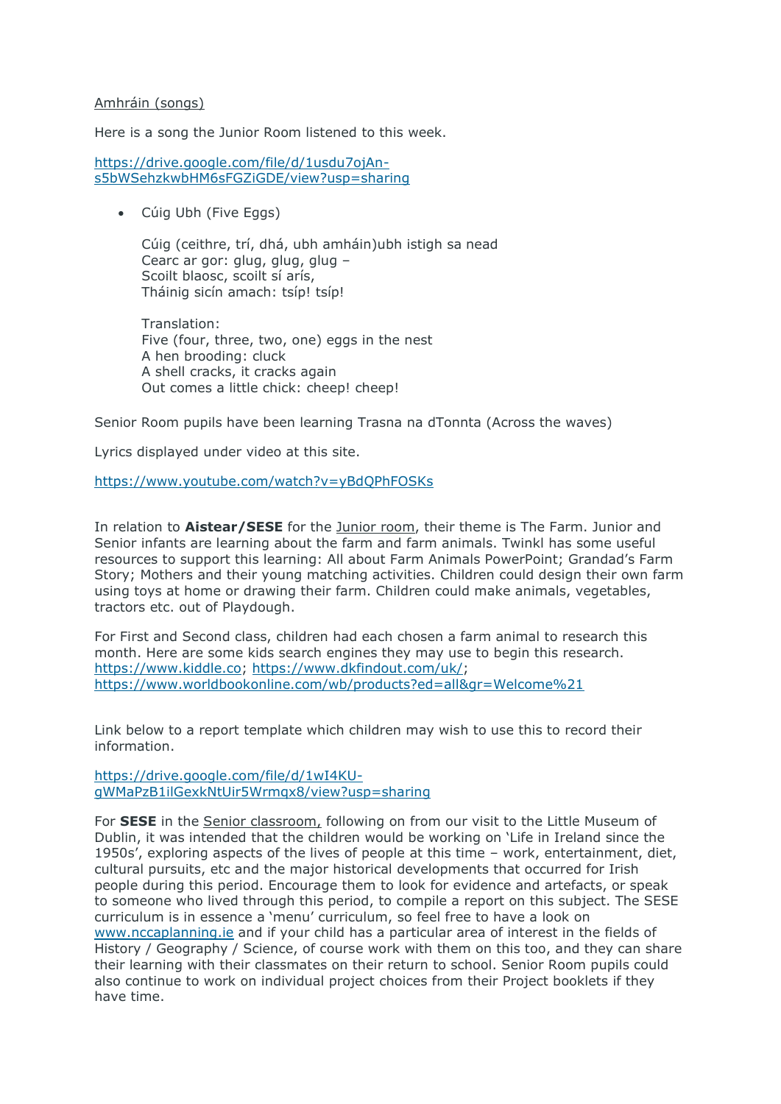### Amhráin (songs)

Here is a song the Junior Room listened to this week.

[https://drive.google.com/file/d/1usdu7ojAn](https://drive.google.com/file/d/1usdu7ojAn-s5bWSehzkwbHM6sFGZiGDE/view?usp=sharing)[s5bWSehzkwbHM6sFGZiGDE/view?usp=sharing](https://drive.google.com/file/d/1usdu7ojAn-s5bWSehzkwbHM6sFGZiGDE/view?usp=sharing)

• Cúig Ubh (Five Eggs)

Cúig (ceithre, trí, dhá, ubh amháin)ubh istigh sa nead Cearc ar gor: glug, glug, glug – Scoilt blaosc, scoilt sí arís, Tháinig sicín amach: tsíp! tsíp!

Translation: Five (four, three, two, one) eggs in the nest A hen brooding: cluck A shell cracks, it cracks again Out comes a little chick: cheep! cheep!

Senior Room pupils have been learning Trasna na dTonnta (Across the waves)

Lyrics displayed under video at this site.

#### <https://www.youtube.com/watch?v=yBdQPhFOSKs>

In relation to **Aistear/SESE** for the Junior room, their theme is The Farm. Junior and Senior infants are learning about the farm and farm animals. Twinkl has some useful resources to support this learning: All about Farm Animals PowerPoint; Grandad's Farm Story; Mothers and their young matching activities. Children could design their own farm using toys at home or drawing their farm. Children could make animals, vegetables, tractors etc. out of Playdough.

For First and Second class, children had each chosen a farm animal to research this month. Here are some kids search engines they may use to begin this research. [https://www.kiddle.co;](https://www.kiddle.co/) [https://www.dkfindout.com/uk/;](https://www.dkfindout.com/uk/) <https://www.worldbookonline.com/wb/products?ed=all&gr=Welcome%21>

Link below to a report template which children may wish to use this to record their information.

[https://drive.google.com/file/d/1wI4KU](https://drive.google.com/file/d/1wI4KU-gWMaPzB1ilGexkNtUir5Wrmqx8/view?usp=sharing)[gWMaPzB1ilGexkNtUir5Wrmqx8/view?usp=sharing](https://drive.google.com/file/d/1wI4KU-gWMaPzB1ilGexkNtUir5Wrmqx8/view?usp=sharing)

For **SESE** in the Senior classroom, following on from our visit to the Little Museum of Dublin, it was intended that the children would be working on 'Life in Ireland since the 1950s', exploring aspects of the lives of people at this time – work, entertainment, diet, cultural pursuits, etc and the major historical developments that occurred for Irish people during this period. Encourage them to look for evidence and artefacts, or speak to someone who lived through this period, to compile a report on this subject. The SESE curriculum is in essence a 'menu' curriculum, so feel free to have a look on [www.nccaplanning.ie](http://www.nccaplanning.ie/) and if your child has a particular area of interest in the fields of History / Geography / Science, of course work with them on this too, and they can share their learning with their classmates on their return to school. Senior Room pupils could also continue to work on individual project choices from their Project booklets if they have time.